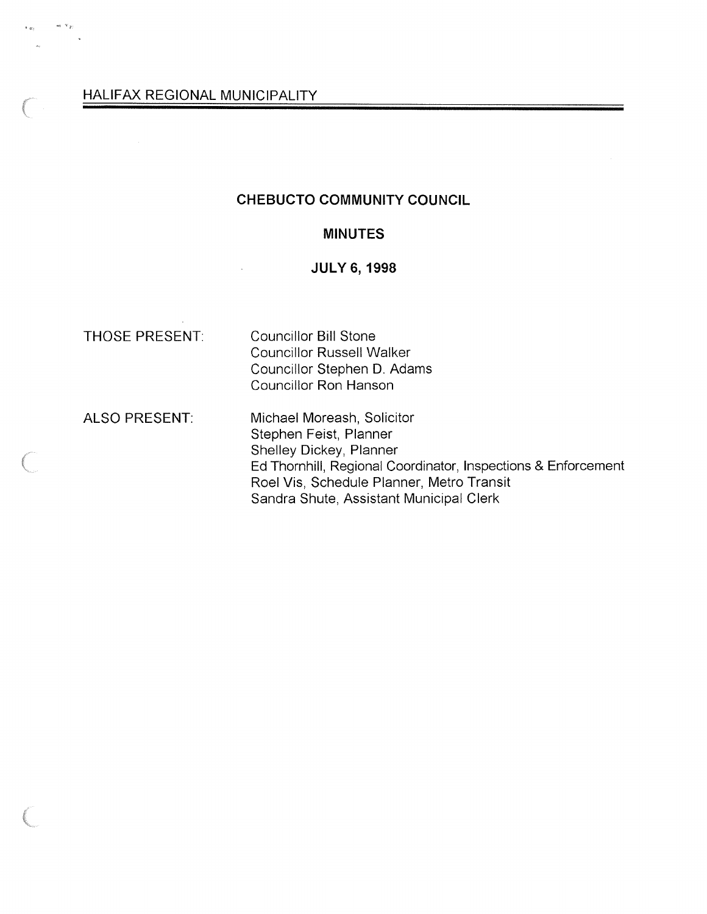#### CHEBUCTO COMMUNITY COUNCIL

#### MINUTES

### **JULY 6, 1998**

 $w_1 \propto \frac{1}{\epsilon}$ 

THOSE PRESENT: Councillor Bill Stone Councillor Russell Walker Councillor Stephen D. Adams Councillor Ron Hanson

ALSO PRESENT: Michael Moreash, Solicitor Stephen Feist, Planner Shelley Dickey, Planner Ed Thornhill, Regional Coordinator, Inspections & Enforcement Roel Vis, Schedule Planner, Metro Transit Sandra Shute, Assistant Municipal Clerk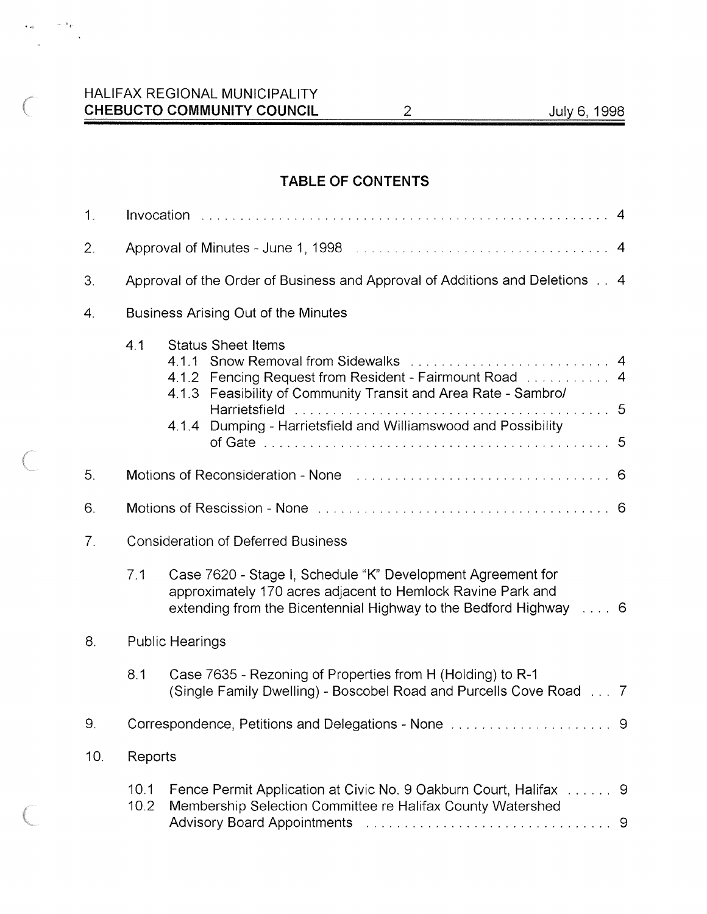$\sim$   $\tau_{\rm F}$ 

 $\sim 10^7$  $\mathcal{A}$ 

# TABLE OF CONTENTS

| 1.             |                                                                             |                                                                                                                                                                                                                                                                     |  |
|----------------|-----------------------------------------------------------------------------|---------------------------------------------------------------------------------------------------------------------------------------------------------------------------------------------------------------------------------------------------------------------|--|
| 2.             |                                                                             |                                                                                                                                                                                                                                                                     |  |
| 3.             | Approval of the Order of Business and Approval of Additions and Deletions 4 |                                                                                                                                                                                                                                                                     |  |
| $\mathbf 4$ .  | Business Arising Out of the Minutes                                         |                                                                                                                                                                                                                                                                     |  |
|                | 4.1                                                                         | <b>Status Sheet Items</b><br>4.1.1 Snow Removal from Sidewalks  4<br>4.1.2 Fencing Request from Resident - Fairmount Road  4<br>4.1.3 Feasibility of Community Transit and Area Rate - Sambro/<br>Dumping - Harrietsfield and Williamswood and Possibility<br>4.1.4 |  |
| 5.             |                                                                             | Motions of Reconsideration - None Alberts Alberts Alberts Alberts Alberts Alberts Alberts Alberts Alberts Alberts Alberts Alberts Alberts Alberts Alberts Alberts Alberts Alberts Alberts Alberts Alberts Alberts Alberts Albe                                      |  |
| 6.             |                                                                             |                                                                                                                                                                                                                                                                     |  |
| 7 <sub>1</sub> | <b>Consideration of Deferred Business</b>                                   |                                                                                                                                                                                                                                                                     |  |
|                | 7.1                                                                         | Case 7620 - Stage I, Schedule "K" Development Agreement for<br>approximately 170 acres adjacent to Hemlock Ravine Park and<br>extending from the Bicentennial Highway to the Bedford Highway  6                                                                     |  |
| 8.             | <b>Public Hearings</b>                                                      |                                                                                                                                                                                                                                                                     |  |
|                | 8.1                                                                         | Case 7635 - Rezoning of Properties from H (Holding) to R-1<br>(Single Family Dwelling) - Boscobel Road and Purcells Cove Road  7                                                                                                                                    |  |
| 9              | Correspondence, Petitions and Delegations - None  9                         |                                                                                                                                                                                                                                                                     |  |
| 10.            | Reports                                                                     |                                                                                                                                                                                                                                                                     |  |
|                | 10.1<br>10.2                                                                | Fence Permit Application at Civic No. 9 Oakburn Court, Halifax  9<br>Membership Selection Committee re Halifax County Watershed<br>Advisory Board Appointments (Fig. 2014) Management Advisory Board Appointments (Fig. 2014) Management (Fig. 20                   |  |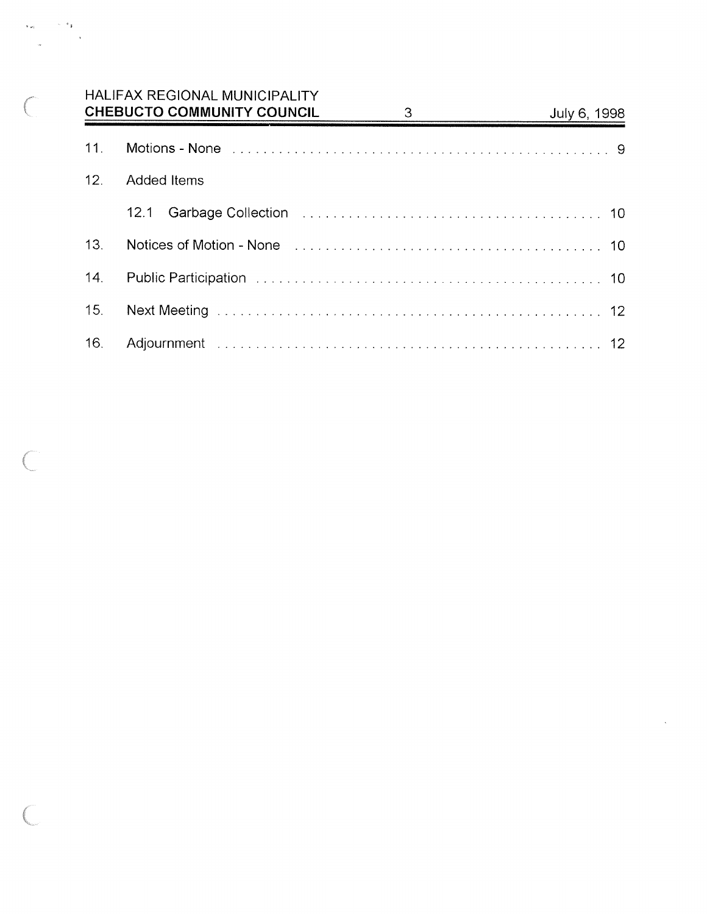# HALIFAX REGIONAL MUNICIPALITY CHEBUCTO COMMUNITY COUNCIL 3 July 6, 1998

 $\sim$   $^{-1}$ 

s.<br>Historia

| 11. | Motions - None experiences in the contract of the contract of the contract of the contract of the Motion of Mo         |
|-----|------------------------------------------------------------------------------------------------------------------------|
| 12. | Added Items                                                                                                            |
|     | Garbage Collection (Collection Collection Collection Collection Collection Collection Collection Collection Co<br>12.1 |
| 13. | Notices of Motion - None <i>manufacture contained a contained a contained</i> and the Motion - 10                      |
|     |                                                                                                                        |
| 15. |                                                                                                                        |
| 16. |                                                                                                                        |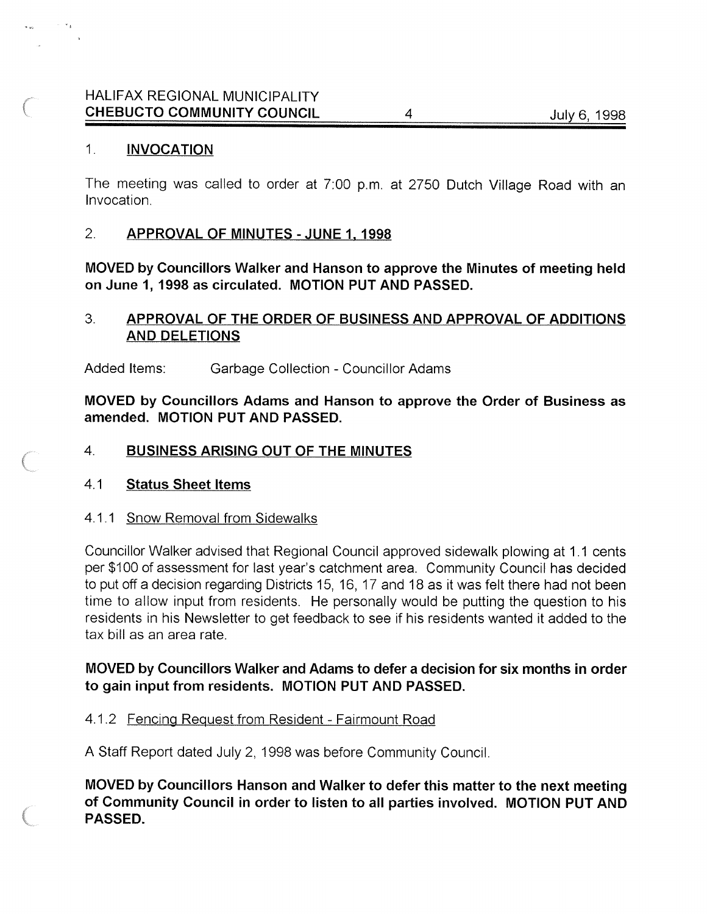# HALIFAX REGIONAL MUNICIPALITY CHEBUCTO COMMUNITY COUNCIL 4 4 July 6, 1998

### 1. INVOCATION

The meeting was called to order at 7:00 p.m. at 2750 Dutch Village Road with an Invocation.

### 2. APPROVAL OF MINUTES - JUNE 1. 1998

MOVED by Councillors Walker and Hanson to approve the Minutes of meeting held on June 1, 1998 as circulated. MOTION PUT AND PASSED.

# 3. APPROVAL OF THE ORDER OF BUSINESS AND APPROVAL OF ADDITIONS AND DELETIONS

Added Items: Garbage Collection - Councillor Adams

MOVED by Councillors Adams and Hanson to approve the Order of Business as amended. MOTION PUT AND PASSED.

### 4. BUSINESS ARISING OUT OF THE MINUTES

#### 4.1 Status Sheet Items

#### 4.1.1 Snow Removal from Sidewalks

Councillor Walker advised that Regional Council approved sidewalk plowing at 1.1 cents per \$100 of assessment for last year's catchment area. Community Council has decided to put off a decision regarding Districts 15, 16, 17 and 18 as it was felt there had not been time to allow input from residents. He personally would be putting the question to his residents in his Newsletter to get feedback to see if his residents wanted it added to the tax bill as an area rate.

# MOVED by Councillors Walker and Adams to defer a decision for six months in order to gain input from residents. MOTION PUT AND PASSED.

### 4.1.2 Fencing Request from Resident - Fairmount Road

A Staff Report dated July 2, 1998 was before Community Council.

MOVED by Councillors Hanson and Walker to defer this matter to the next meeting of Community Council in order to listen to all parties involved. MOTION PUT AND PASSED.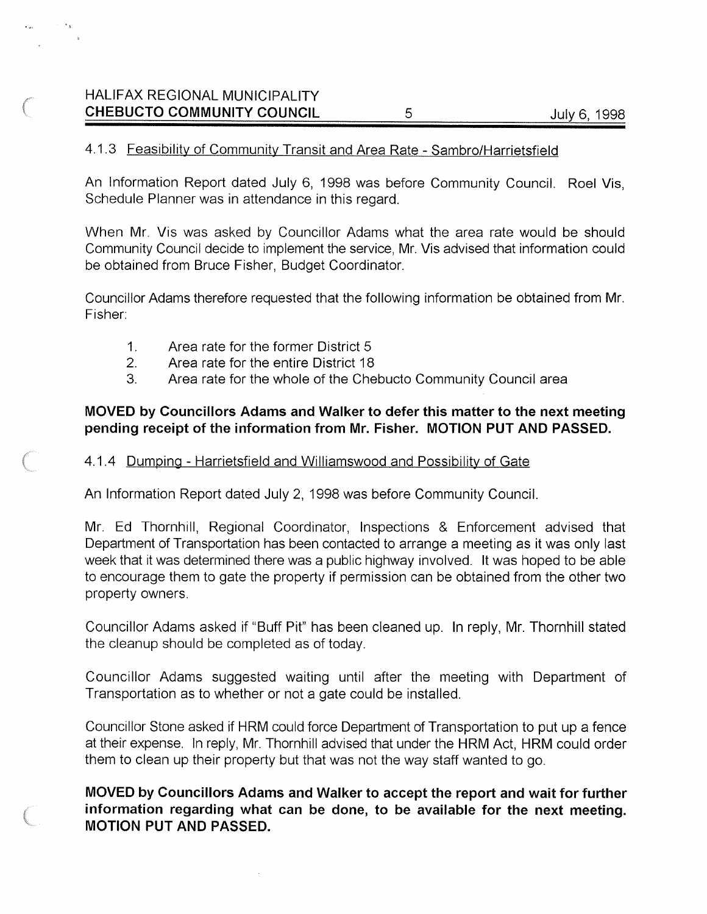# HALIFAX REGIONAL MUNICIPALITY CHEBUCTO COMMUNITY COUNCIL 5 5 July 6, 1998

### 4.1.3 Feasibility of Community Transit and Area Rate - Sambro/Harrietsfield

An Information Report dated July 6, 1998 was before Community Council. Roel Vis, Schedule Planner was in attendance in this regard.

When Mr. Vis was asked by Councillor Adams what the area rate would be should Community Council decide to implement the service, Mr. Vis advised that information could be obtained from Bruce Fisher, Budget Coordinator.

Councillor Adams therefore requested that the following information be obtained from Mr. Fisher:

- 1. Area rate for the former District 5
- 2. Area rate for the entire District 18

 $\sim$ 

3. Area rate for the whole of the Chebucto Community Council area

### MOVED by Councillors Adams and Walker to defer this matter to the next meeting pending receipt of the information from Mr. Fisher. MOTION PUT AND PASSED.

### 4.1.4 Dumping - Harrietsfield and Williamswood and Possibility of Gate

An Information Report dated July 2, 1998 was before Community Council.

Mr. Ed Thornhill, Regional Coordinator, Inspections & Enforcement advised that Department of Transportation has been contacted to arrange a meeting as it was only last week that it was determined there was a public highway involved. It was hoped to be able to encourage them to gate the property if permission can be obtained from the other two property owners.

Councillor Adams asked if "Buff Pit" has been cleaned up. In reply, Mr. Thornhill stated the cleanup should be completed as of today.

Councillor Adams suggested waiting until after the meeting with Department of Transportation as to whether or not a gate could be installed.

Councillor Stone asked if HRM could force Department of Transportation to put up a fence at their expense. In reply, Mr. Thornhill advised that under the HRM Act, HRM could order them to clean up their property but that was not the way staff wanted to go.

# MOVED by Councillors Adams and Walker to accept the report and wait for further information regarding what can be done, to be available for the next meeting. MOTION PUT AND PASSED.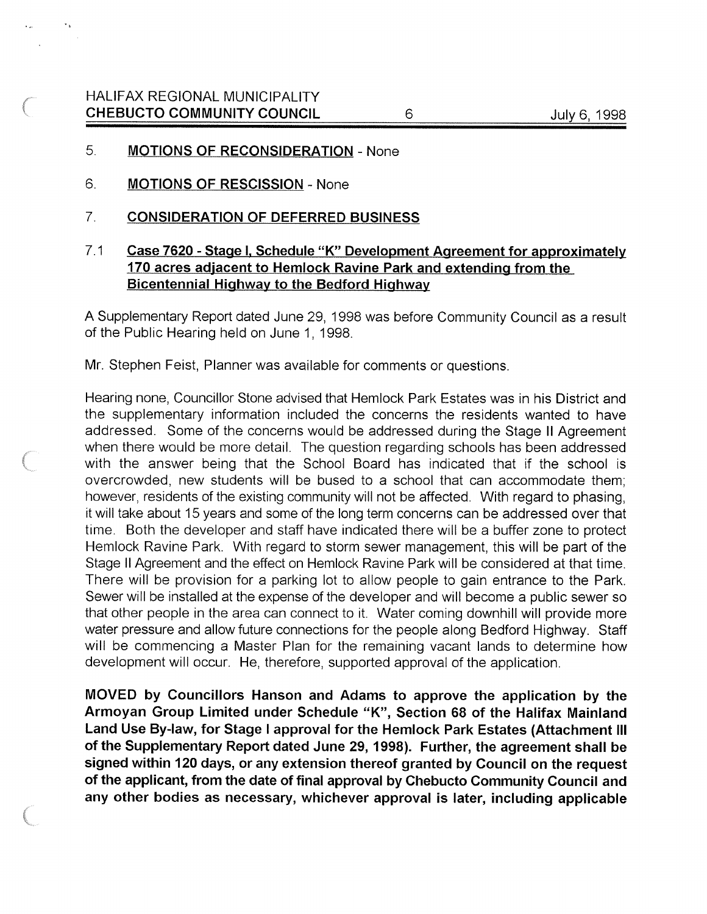#### 5. MOTIONS OF RECONSIDERATION - None

- 6. MOTIONS OF RESCISSION None
- 7. CONSIDERATION OF DEFERRED BUSINESS

# 7.1 Case 7620 - Stage I, Schedule "K" Development Agreement for approximately 170 acres adjacent to Hemlock Ravine Park and extending from the Bicentennial Highway to the Bedford Highway

A Supplementary Report dated June 29, 1998 was before Community Council as a result of the Public Hearing held on June 1, 1998.

Mr. Stephen Feist, Planner was available for comments or questions.

Hearing none, Councillor Stone advised that Hemlock Park Estates was in his District and the supplementary information included the concerns the residents wanted to have addressed. Some of the concerns would be addressed during the Stage II Agreement when there would be more detail. The question regarding schools has been addressed with the answer being that the School Board has indicated that if the school is overcrowded, new students will be bused to a school that can accommodate them; however, residents of the existing community will not be affected. With regard to phasing, it will take about 15 years and some of the long term concerns can be addressed over that time. Both the developer and staff have indicated there will be a buffer zone to protect Hemlock Ravine Park. With regard to storm sewer management, this will be part of the Stage II Agreement and the effect on Hemlock Ravine Park will be considered at that time. There will be provision for a parking lot to allow people to gain entrance to the Park. Sewer will be installed at the expense of the developer and will become a public sewer so that other people in the area can connect to it. Water coming downhill will provide more water pressure and allow future connections for the people along Bedford Highway. Staff will be commencing a Master Plan for the remaining vacant lands to determine how development will occur. He, therefore, supported approval of the application.

MOVED by Councillors Hanson and Adams to approve the application by the Armoyan Group Limited under Schedule "K", Section 68 of the Halifax Mainland Land Use By-law, for Stage <sup>I</sup> approval for the Hemlock Park Estates (Attachment Ill of the Supplementary Report dated June 29, 1998). Further, the agreement shall be signed within 120 days, or any extension thereof granted by Council on the request of the applicant, from the date of final approval by Chebucto Community Council and any other bodies as necessary, whichever approval is later, including applicable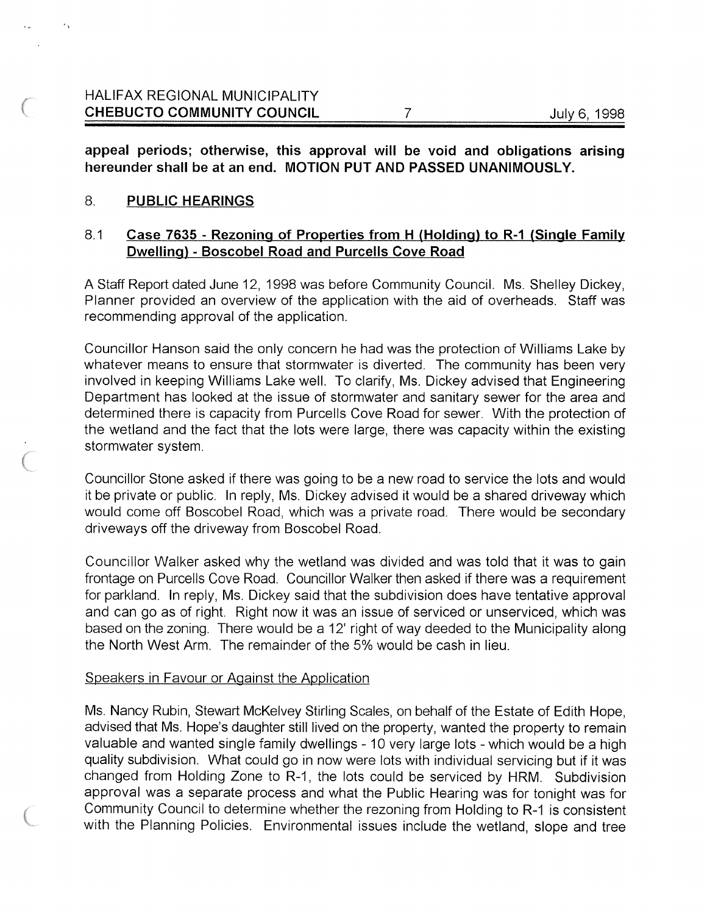appeal periods; otherwise, this approval will be void and obligations arising hereunder shall be at an end. MOTION PUT AND PASSED UNANIMOUSLY.

### 8. PUBLIC HEARINGS

### 8.1 Case 7635 - Rezoning of Properties from <sup>H</sup> (Holding) to R-1 (Single Family Dwelling) - Boscobel Road and Purcells Cove Road

A Staff Report dated June 12, 1998 was before Community Council. Ms. Shelley Dickey, Planner provided an overview of the application with the aid of overheads. Staff was recommending approval of the application.

Councillor Hanson said the only concern he had was the protection of Williams Lake by whatever means to ensure that stormwater is diverted. The community has been very involved in keeping Williams Lake well. To clarify, Ms. Dickey advised that Engineering Department has looked at the issue of stormwater and sanitary sewer for the area and determined there is capacity from Purcells Cove Road for sewer. With the protection of the wetland and the fact that the lots were large, there was capacity within the existing stormwater system.

Councillor Stone asked if there was going to be a new road to service the lots and would it be private or public. In reply, Ms. Dickey advised it would be a shared driveway which would come off Boscobel Road, which was a private road. There would be secondary driveways off the driveway from Boscobel Road.

Councillor Walker asked why the wetland was divided and was told that it was to gain frontage on Purcells Cove Road. Councillor Walker then asked if there was a requirement for parkland. In reply, Ms. Dickey said that the subdivision does have tentative approval and can go as of right. Right now it was an issue of serviced or unserviced, which was based on the zoning. There would be a 12' right of way deeded to the Municipality along the North West Arm. The remainder of the 5% would be cash in lieu.

#### Speakers in Favour or Against the Application

Ms. Nancy Rubin, Stewart McKelvey Stirling Scales, on behalf of the Estate of Edith Hope, advised that Ms. Hope's daughter still lived on the property, wanted the property to remain valuable and wanted single family dwellings - 10 very large lots - which would be a high quality subdivision. What could go in now were lots with individual servicing but if it was changed from Holding Zone to R-1, the lots could be serviced by HRM. Subdivision approval was a separate process and what the Public Hearing was for tonight was for Community Council to determine whether the rezoning from Holding to R-1 is consistent with the Planning Policies. Environmental issues include the wetland, slope and tree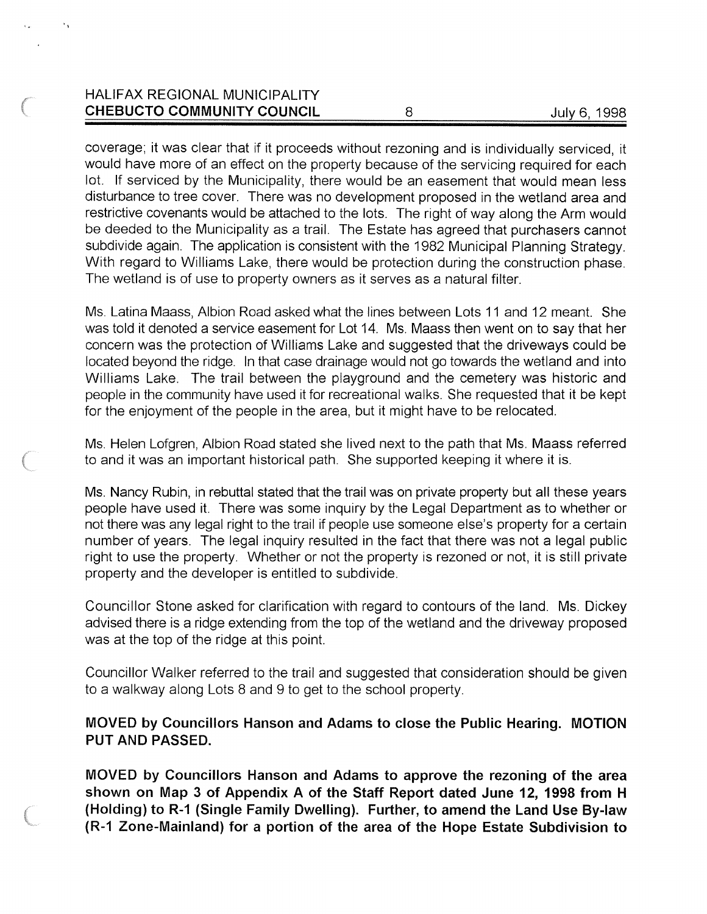# HALIFAX REGIONAL MUNICIPALITY CHEBUCTO COMMUNITY COUNCIL 8 July 6, 1998

coverage; it was clear that if it proceeds without rezoning and is individually serviced, it would have more of an effect on the property because of the servicing required for each lot. If serviced by the Municipality, there would be an easement that would mean less disturbance to tree cover. There was no development proposed in the wetland area and restrictive covenants would be attached to the lots. The right of way along the Arm would be deeded to the Municipality as a trail. The Estate has agreed that purchasers cannot subdivide again. The application is consistent with the 1982 Municipal Planning Strategy. With regard to Williams Lake, there would be protection during the construction phase. The wetland is of use to property owners as it serves as a natural filter.

Ms. Latina Maass, Albion Road asked what the lines between Lots 11 and 12 meant. She was told it denoted a service easement for Lot 14. Ms. Maass then went on to say that her concern was the protection of Williams Lake and suggested that the driveways could be located beyond the ridge. In that case drainage would not go towards the wetland and into Williams Lake. The trail between the playground and the cemetery was historic and people in the community have used it for recreational walks. She requested that it be kept for the enjoyment of the people in the area, but it might have to be relocated.

Ms. Helen Lofgren, Albion Road stated she lived next to the path that Ms. Maass referred to and it was an important historical path. She supported keeping it where it is.

Ms. Nancy Rubin, in rebuttal stated that the trail was on private property but all these years people have used it. There was some inquiry by the Legal Department as to whether or not there was any legal right to the trail if people use someone else's property for a certain number of years. The legal inquiry resulted in the fact that there was not a legal public right to use the property. Whether or not the property is rezoned or not, it is still private property and the developer is entitled to subdivide.

Councillor Stone asked for clarification with regard to contours of the land. Ms. Dickey advised there is a ridge extending from the top of the wetland and the driveway proposed was at the top of the ridge at this point.

Councillor Walker referred to the trail and suggested that consideration should be given to a walkway along Lots 8 and 9 to get to the school property.

### MOVED by Councillors Hanson and Adams to close the Public Hearing. MOTION PUT AND PASSED.

MOVED by Councillors Hanson and Adams to approve the rezoning of the area shown on Map 3 of Appendix A of the Staff Report dated June 12, 1998 from <sup>H</sup> (Holding) to R-1 (Single Family Dwelling). Further, to amend the Land Use By-law (R-1 Zone-Mainland) for <sup>a</sup> portion of the area of the Hope Estate Subdivision to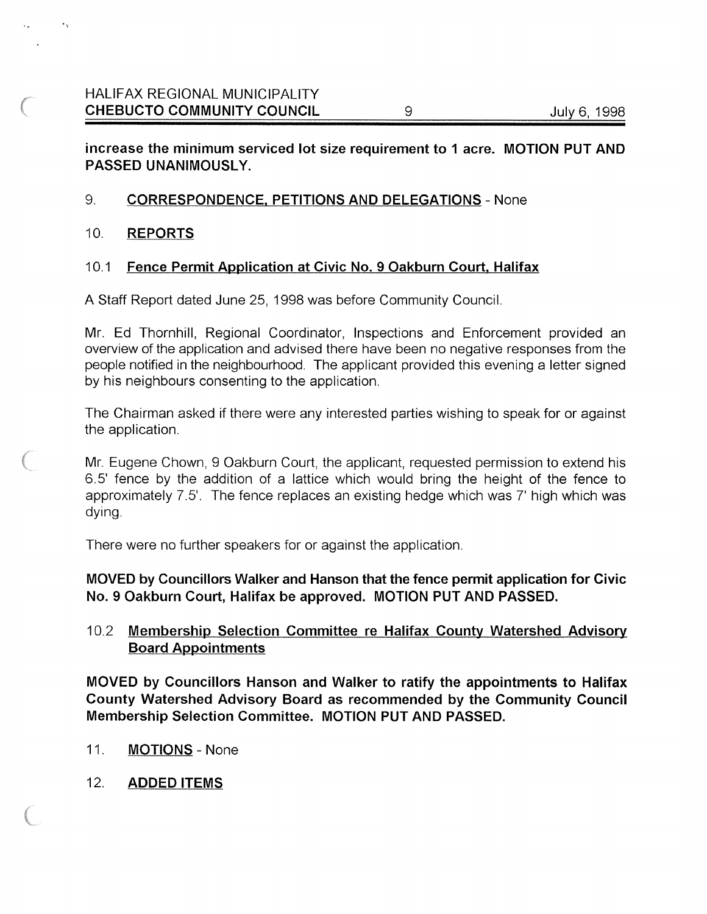### increase the minimum serviced lot size requirement to I acre. MOTION PUT AND PASSED UNANIMOUSLY.

### 9. CORRESPONDENCE. PETITIONS AND DELEGATIONS - None

#### 10. REPORTS

### 10.1 Fence Permit Application at Civic No. 9 Oakburn Court, Halifax

A Staff Report dated June 25, 1998 was before Community Council.

Mr. Ed Thornhill, Regional Coordinator, Inspections and Enforcement provided an overview of the application and advised there have been no negative responses from the people notified in the neighbourhood. The applicant provided this evening a letter signed by his neighbours consenting to the application.

The Chairman asked if there were any interested parties wishing to speak for or against the application.

Mr. Eugene Chown, 9 Oakburn Court, the applicant, requested permission to extend his 6.5' fence by the addition of a lattice which would bring the height of the fence to approximately 7.5'. The fence replaces an existing hedge which was 7' high which was dying.

There were no further speakers for or against the application.

MOVED by Councillors Walker and Hanson that the fence permit application for Civic No. 9 Oakburn Court, Halifax be approved. MOTION PUT AND PASSED.

10.2 Membership Selection Committee re Halifax County Watershed Advisory Board Appointments

MOVED by Councillors Hanson and Walker to ratify the appointments to Halifax County Watershed Advisory Board as recommended by the Community Council Membership Selection Committee. MOTION PUT AND PASSED.

- 11. MOTIONS None
- 12. ADDED ITEMS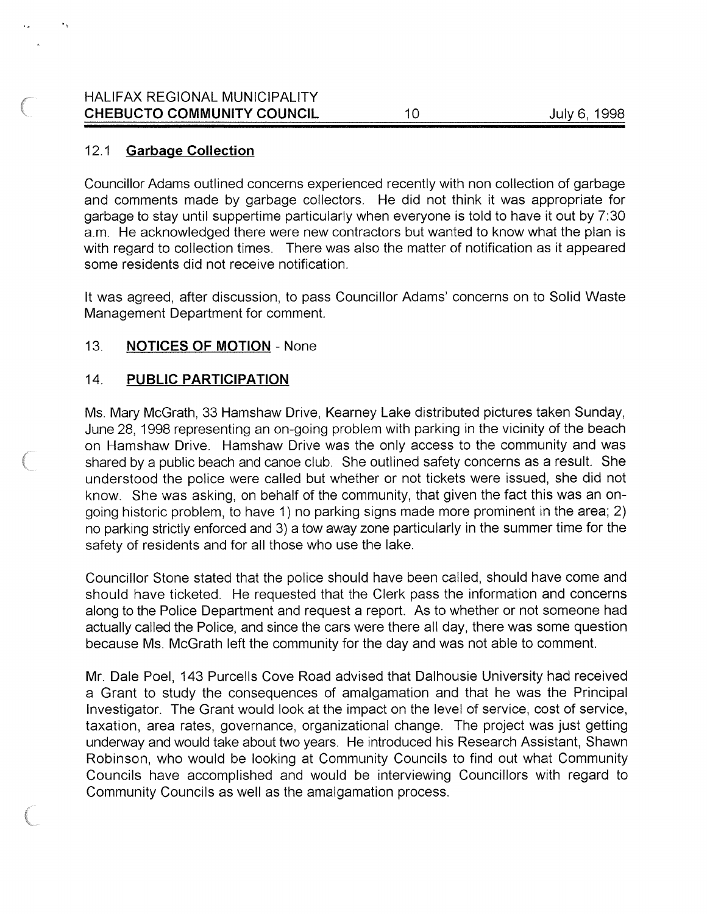### HALIFAX REGIONAL MUNICIPALITY CHEBUCTO COMMUNITY COUNCIL 10 10 July 6, 1998

### 12.1 **Garbage Collection**

Councillor Adams outlined concerns experienced recently with non collection of garbage and comments made by garbage collectors. He did not think it was appropriate for garbage to stay until suppertime particularly when everyone is told to have it out by 7:30 a.m. He acknowledged there were new contractors but wanted to know what the plan is with regard to collection times. There was also the matter of notification as it appeared some residents did not receive notification.

It was agreed, after discussion, to pass Councillor Adams' concerns on to Solid Waste Management Department for comment.

### 13. NOTICES OF MOTION - None

### 14. PUBLIC PARTICIPATION

Ms. Mary McGrath, 33 Hamshaw Drive, Kearney Lake distributed pictures taken Sunday, June 28, 1998 representing an on-going problem with parking in the vicinity of the beach on Hamshaw Drive. Hamshaw Drive was the only access to the community and was shared by a public beach and canoe club. She outlined safety concerns as a result. She understood the police were called but whether or not tickets were issued, she did not know. She was asking, on behalf of the community, that given the fact this was an on going historic problem, to have 1) no parking signs made more prominent in the area; 2) no parking strictly enforced and 3) a tow away zone particularly in the summer time for the safety of residents and for all those who use the lake.

Councillor Stone stated that the police should have been called, should have come and should have ticketed. He requested that the Clerk pass the information and concerns along to the Police Department and request a report. As to whether or not someone had actually called the Police, and since the cars were there all day, there was some question because Ms. McGrath left the community for the day and was not able to comment.

Mr. Dale Poel, 143 Purcells Cove Road advised that Dalhousie University had received a Grant to study the consequences of amalgamation and that he was the Principal Investigator. The Grant would look at the impact on the level of service, cost of service, taxation, area rates, governance, organizational change. The project was just getting underway and would take about two years. He introduced his Research Assistant, Shawn Robinson, who would be looking at Community Councils to find out what Community Councils have accomplished and would be interviewing Councillors with regard to Community Councils as well as the amalgamation process.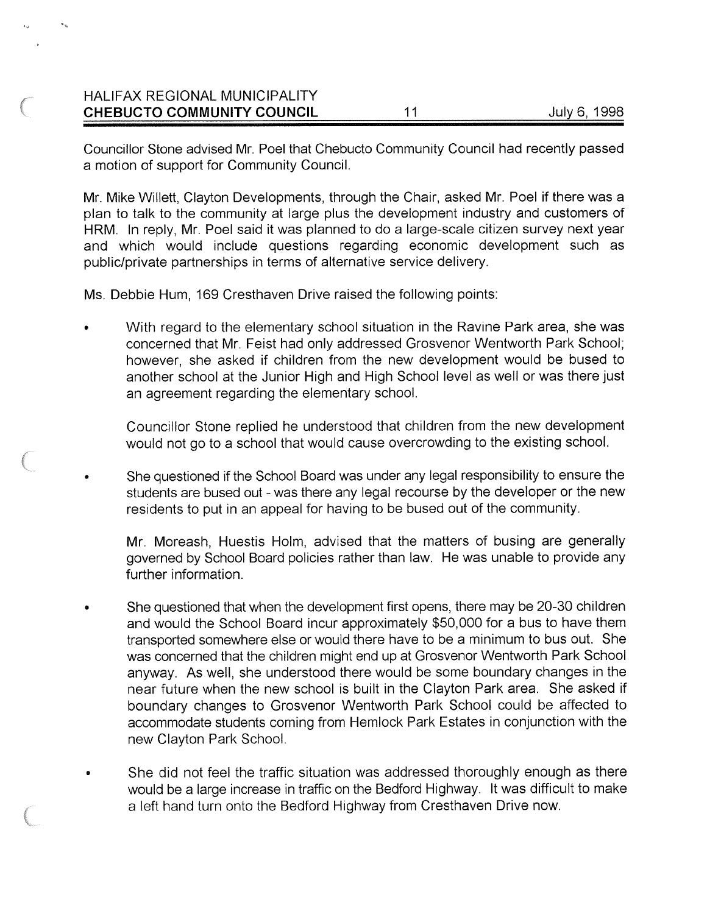# HALIFAX REGIONAL MUNICIPALITY CHEBUCTO COMMUNITY COUNCIL 11 11 July 6, 1998

Councillor Stone advised Mr. Poel that Chebucto Community Council had recently passed a motion of support for Community Council.

Mr. Mike Willett, Clayton Developments, through the Chair, asked Mr. Poel if there was a plan to talk to the community at large plus the development industry and customers of HRM. In reply, Mr. Poel said it was planned to do a large-scale citizen survey next year and which would include questions regarding economic development such as public/private partnerships in terms of alternative service delivery.

Ms. Debbie Hum, 169 Cresthaven Drive raised the following points:

With regard to the elementary school situation in the Ravine Park area, she was concerned that Mr. Feist had only addressed Grosvenor Wentworth Park School; however, she asked if children from the new development would be bused to another school at the Junior High and High School level as well or was there just an agreement regarding the elementary school.

Councillor Stone replied he understood that children from the new development would not go to a school that would cause overcrowding to the existing school.

She questioned if the School Board was under any legal responsibility to ensure the students are bused out - was there any legal recourse by the developer or the new residents to put in an appeal for having to be bused out of the community.

Mr. Moreash, Huestis HoIm, advised that the matters of busing are generally governed by School Board policies rather than law. He was unable to provide any further information.

- She questioned that when the development first opens, there may be 20-30 children and would the School Board incur approximately \$50,000 for a bus to have them transported somewhere else or would there have to be a minimum to bus out. She was concerned that the children might end up at Grosvenor Wentworth Park School anyway. As well, she understood there would be some boundary changes in the near future when the new school is built in the Clayton Park area. She asked if boundary changes to Grosvenor Wentworth Park School could be affected to accommodate students coming from Hemlock Park Estates in conjunction with the new Clayton Park School.
- She did not feel the traffic situation was addressed thoroughly enough as there would be a large increase in traffic on the Bedford Highway. It was difficult to make a left hand turn onto the Bedford Highway from Cresthaven Drive now.